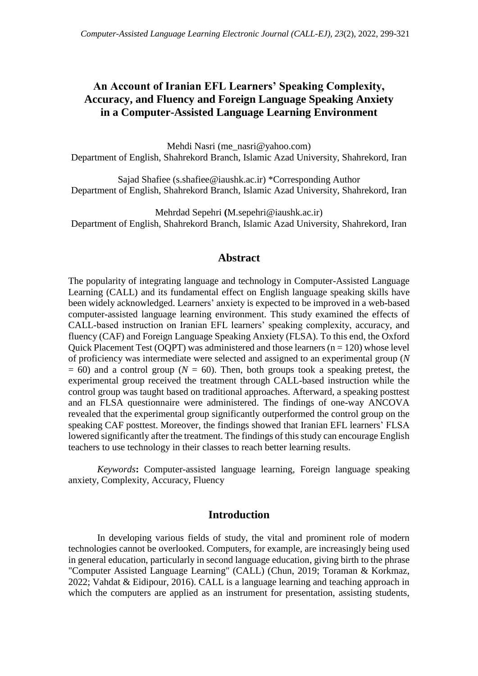# **An Account of Iranian EFL Learners' Speaking Complexity, Accuracy, and Fluency and Foreign Language Speaking Anxiety in a Computer-Assisted Language Learning Environment**

Mehdi Nasri (me\_nasri@yahoo.com) Department of English, Shahrekord Branch, Islamic Azad University, Shahrekord, Iran

Sajad Shafiee (s.shafiee@iaushk.ac.ir) \*Corresponding Author Department of English, Shahrekord Branch, Islamic Azad University, Shahrekord, Iran

Mehrdad Sepehri **(**M.sepehri@iaushk.ac.ir) Department of English, Shahrekord Branch, Islamic Azad University, Shahrekord, Iran

## **Abstract**

The popularity of integrating language and technology in Computer-Assisted Language Learning (CALL) and its fundamental effect on English language speaking skills have been widely acknowledged. Learners' anxiety is expected to be improved in a web-based computer-assisted language learning environment. This study examined the effects of CALL-based instruction on Iranian EFL learners' speaking complexity, accuracy, and fluency (CAF) and Foreign Language Speaking Anxiety (FLSA). To this end, the Oxford Quick Placement Test (OQPT) was administered and those learners ( $n = 120$ ) whose level of proficiency was intermediate were selected and assigned to an experimental group (*N*  $= 60$ ) and a control group ( $N = 60$ ). Then, both groups took a speaking pretest, the experimental group received the treatment through CALL-based instruction while the control group was taught based on traditional approaches. Afterward, a speaking posttest and an FLSA questionnaire were administered. The findings of one-way ANCOVA revealed that the experimental group significantly outperformed the control group on the speaking CAF posttest. Moreover, the findings showed that Iranian EFL learners' FLSA lowered significantly after the treatment. The findings of this study can encourage English teachers to use technology in their classes to reach better learning results.

*Keywords***:** Computer-assisted language learning, Foreign language speaking anxiety, Complexity, Accuracy, Fluency

## **Introduction**

In developing various fields of study, the vital and prominent role of modern technologies cannot be overlooked. Computers, for example, are increasingly being used in general education, particularly in second language education, giving birth to the phrase "Computer Assisted Language Learning" (CALL) (Chun, 2019; Toraman & Korkmaz, 2022; Vahdat & Eidipour, 2016). CALL is a language learning and teaching approach in which the computers are applied as an instrument for presentation, assisting students,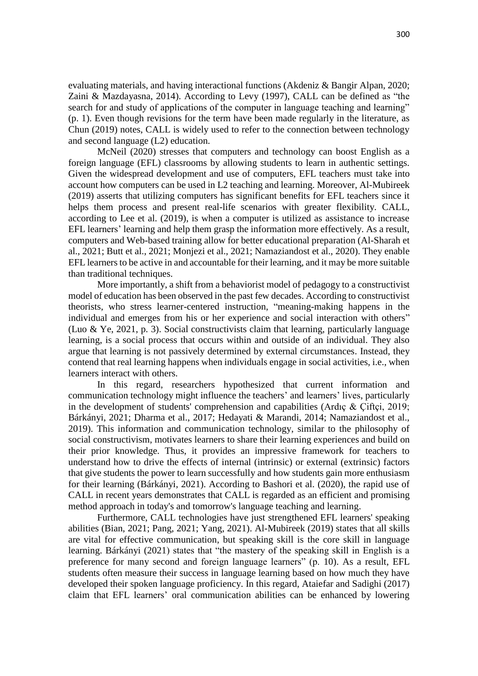evaluating materials, and having interactional functions (Akdeniz & Bangir Alpan, 2020; Zaini & Mazdayasna, 2014). According to Levy (1997), CALL can be defined as "the search for and study of applications of the computer in language teaching and learning" (p. 1). Even though revisions for the term have been made regularly in the literature, as Chun (2019) notes, CALL is widely used to refer to the connection between technology and second language (L2) education.

McNeil (2020) stresses that computers and technology can boost English as a foreign language (EFL) classrooms by allowing students to learn in authentic settings. Given the widespread development and use of computers, EFL teachers must take into account how computers can be used in L2 teaching and learning. Moreover, Al-Mubireek (2019) asserts that utilizing computers has significant benefits for EFL teachers since it helps them process and present real-life scenarios with greater flexibility. CALL, according to Lee et al. (2019), is when a computer is utilized as assistance to increase EFL learners' learning and help them grasp the information more effectively. As a result, computers and Web-based training allow for better educational preparation (Al-Sharah et al., 2021; Butt et al., 2021; Monjezi et al., 2021; Namaziandost et al., 2020). They enable EFL learners to be active in and accountable for their learning, and it may be more suitable than traditional techniques.

More importantly, a shift from a behaviorist model of pedagogy to a constructivist model of education has been observed in the past few decades. According to constructivist theorists, who stress learner-centered instruction, "meaning-making happens in the individual and emerges from his or her experience and social interaction with others" (Luo & Ye, 2021, p. 3). Social constructivists claim that learning, particularly language learning, is a social process that occurs within and outside of an individual. They also argue that learning is not passively determined by external circumstances. Instead, they contend that real learning happens when individuals engage in social activities, i.e., when learners interact with others.

In this regard, researchers hypothesized that current information and communication technology might influence the teachers' and learners' lives, particularly in the development of students' comprehension and capabilities (Ardıç & Çiftçi, 2019; Bárkányi, 2021; Dharma et al., 2017; Hedayati & Marandi, 2014; Namaziandost et al., 2019). This information and communication technology, similar to the philosophy of social constructivism, motivates learners to share their learning experiences and build on their prior knowledge. Thus, it provides an impressive framework for teachers to understand how to drive the effects of internal (intrinsic) or external (extrinsic) factors that give students the power to learn successfully and how students gain more enthusiasm for their learning (Bárkányi, 2021). According to Bashori et al. (2020), the rapid use of CALL in recent years demonstrates that CALL is regarded as an efficient and promising method approach in today's and tomorrow's language teaching and learning.

Furthermore, CALL technologies have just strengthened EFL learners' speaking abilities (Bian, 2021; Pang, 2021; Yang, 2021). Al-Mubireek (2019) states that all skills are vital for effective communication, but speaking skill is the core skill in language learning. Bárkányi (2021) states that "the mastery of the speaking skill in English is a preference for many second and foreign language learners" (p. 10). As a result, EFL students often measure their success in language learning based on how much they have developed their spoken language proficiency. In this regard, Ataiefar and Sadighi (2017) claim that EFL learners' oral communication abilities can be enhanced by lowering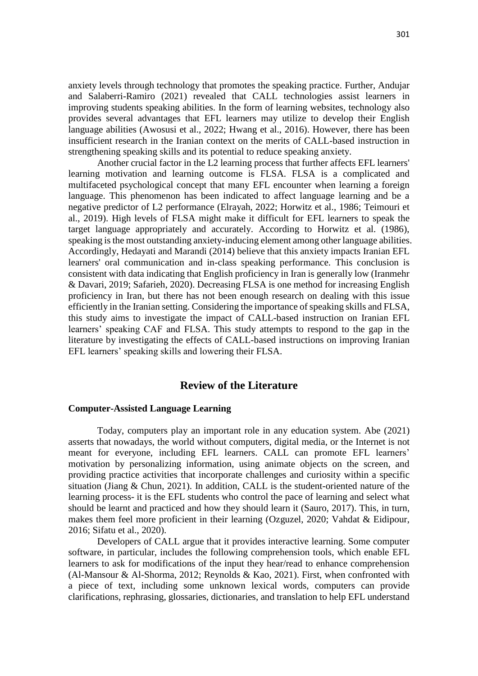anxiety levels through technology that promotes the speaking practice. Further, Andujar and Salaberri-Ramiro (2021) revealed that CALL technologies assist learners in improving students speaking abilities. In the form of learning websites, technology also provides several advantages that EFL learners may utilize to develop their English language abilities (Awosusi et al., 2022; Hwang et al., 2016). However, there has been insufficient research in the Iranian context on the merits of CALL-based instruction in strengthening speaking skills and its potential to reduce speaking anxiety.

Another crucial factor in the L2 learning process that further affects EFL learners' learning motivation and learning outcome is FLSA. FLSA is a complicated and multifaceted psychological concept that many EFL encounter when learning a foreign language. This phenomenon has been indicated to affect language learning and be a negative predictor of L2 performance (Elrayah, 2022; Horwitz et al., 1986; Teimouri et al., 2019). High levels of FLSA might make it difficult for EFL learners to speak the target language appropriately and accurately. According to Horwitz et al. (1986), speaking is the most outstanding anxiety-inducing element among other language abilities. Accordingly, Hedayati and Marandi (2014) believe that this anxiety impacts Iranian EFL learners' oral communication and in-class speaking performance. This conclusion is consistent with data indicating that English proficiency in Iran is generally low (Iranmehr & Davari, 2019; Safarieh, 2020). Decreasing FLSA is one method for increasing English proficiency in Iran, but there has not been enough research on dealing with this issue efficiently in the Iranian setting. Considering the importance of speaking skills and FLSA, this study aims to investigate the impact of CALL-based instruction on Iranian EFL learners' speaking CAF and FLSA. This study attempts to respond to the gap in the literature by investigating the effects of CALL-based instructions on improving Iranian EFL learners' speaking skills and lowering their FLSA.

### **Review of the Literature**

### **Computer-Assisted Language Learning**

Today, computers play an important role in any education system. Abe (2021) asserts that nowadays, the world without computers, digital media, or the Internet is not meant for everyone, including EFL learners. CALL can promote EFL learners' motivation by personalizing information, using animate objects on the screen, and providing practice activities that incorporate challenges and curiosity within a specific situation (Jiang & Chun, 2021). In addition, CALL is the student-oriented nature of the learning process- it is the EFL students who control the pace of learning and select what should be learnt and practiced and how they should learn it (Sauro, 2017). This, in turn, makes them feel more proficient in their learning (Ozguzel, 2020; Vahdat & Eidipour, 2016; Sifatu et al., 2020).

Developers of CALL argue that it provides interactive learning. Some computer software, in particular, includes the following comprehension tools, which enable EFL learners to ask for modifications of the input they hear/read to enhance comprehension (Al-Mansour & Al-Shorma, 2012; Reynolds & Kao, 2021). First, when confronted with a piece of text, including some unknown lexical words, computers can provide clarifications, rephrasing, glossaries, dictionaries, and translation to help EFL understand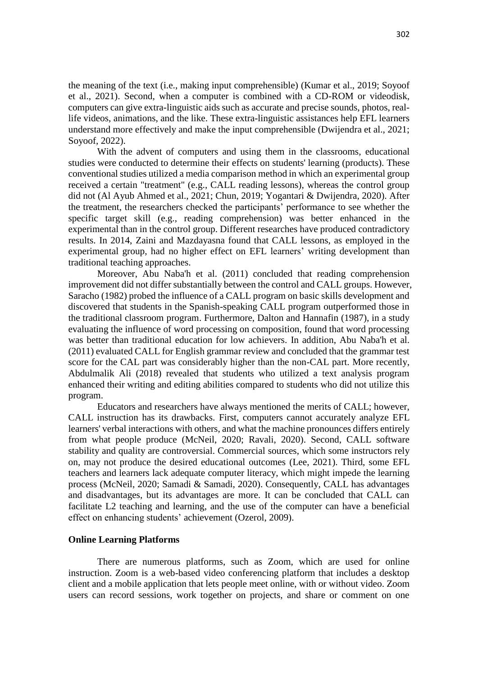the meaning of the text (i.e., making input comprehensible) (Kumar et al., 2019; Soyoof et al., 2021). Second, when a computer is combined with a CD-ROM or videodisk, computers can give extra-linguistic aids such as accurate and precise sounds, photos, reallife videos, animations, and the like. These extra-linguistic assistances help EFL learners understand more effectively and make the input comprehensible (Dwijendra et al., 2021; Soyoof, 2022).

With the advent of computers and using them in the classrooms, educational studies were conducted to determine their effects on students' learning (products). These conventional studies utilized a media comparison method in which an experimental group received a certain "treatment" (e.g., CALL reading lessons), whereas the control group did not (Al Ayub Ahmed et al., 2021; Chun, 2019; Yogantari & Dwijendra, 2020). After the treatment, the researchers checked the participants' performance to see whether the specific target skill (e.g., reading comprehension) was better enhanced in the experimental than in the control group. Different researches have produced contradictory results. In 2014, Zaini and Mazdayasna found that CALL lessons, as employed in the experimental group, had no higher effect on EFL learners' writing development than traditional teaching approaches.

Moreover, Abu Naba'h et al. (2011) concluded that reading comprehension improvement did not differ substantially between the control and CALL groups. However, Saracho (1982) probed the influence of a CALL program on basic skills development and discovered that students in the Spanish-speaking CALL program outperformed those in the traditional classroom program. Furthermore, Dalton and Hannafin (1987), in a study evaluating the influence of word processing on composition, found that word processing was better than traditional education for low achievers. In addition, Abu Naba'h et al. (2011) evaluated CALL for English grammar review and concluded that the grammar test score for the CAL part was considerably higher than the non-CAL part. More recently, Abdulmalik Ali (2018) revealed that students who utilized a text analysis program enhanced their writing and editing abilities compared to students who did not utilize this program.

Educators and researchers have always mentioned the merits of CALL; however, CALL instruction has its drawbacks. First, computers cannot accurately analyze EFL learners' verbal interactions with others, and what the machine pronounces differs entirely from what people produce (McNeil, 2020; Ravali, 2020). Second, CALL software stability and quality are controversial. Commercial sources, which some instructors rely on, may not produce the desired educational outcomes (Lee, 2021). Third, some EFL teachers and learners lack adequate computer literacy, which might impede the learning process (McNeil, 2020; Samadi & Samadi, 2020). Consequently, CALL has advantages and disadvantages, but its advantages are more. It can be concluded that CALL can facilitate L2 teaching and learning, and the use of the computer can have a beneficial effect on enhancing students' achievement (Ozerol, 2009).

### **Online Learning Platforms**

There are numerous platforms, such as Zoom, which are used for online instruction. Zoom is a web-based video conferencing platform that includes a desktop client and a mobile application that lets people meet online, with or without video. Zoom users can record sessions, work together on projects, and share or comment on one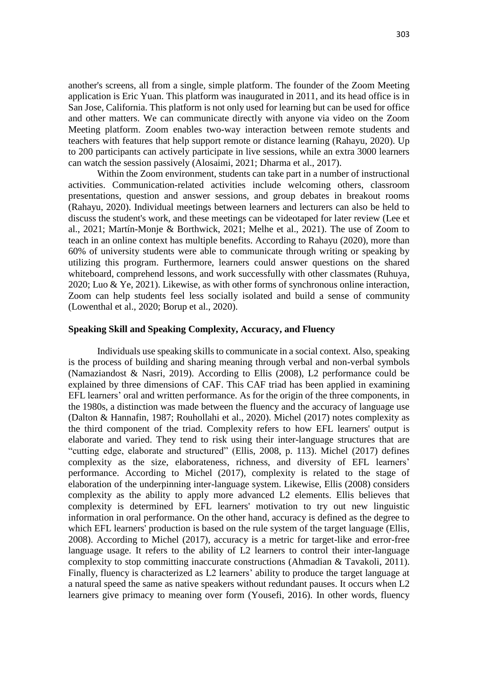another's screens, all from a single, simple platform. The founder of the Zoom Meeting application is Eric Yuan. This platform was inaugurated in 2011, and its head office is in San Jose, California. This platform is not only used for learning but can be used for office and other matters. We can communicate directly with anyone via video on the Zoom Meeting platform. Zoom enables two-way interaction between remote students and teachers with features that help support remote or distance learning (Rahayu, 2020). Up to 200 participants can actively participate in live sessions, while an extra 3000 learners can watch the session passively (Alosaimi, 2021; Dharma et al., 2017).

Within the Zoom environment, students can take part in a number of instructional activities. Communication-related activities include welcoming others, classroom presentations, question and answer sessions, and group debates in breakout rooms (Rahayu, 2020). Individual meetings between learners and lecturers can also be held to discuss the student's work, and these meetings can be videotaped for later review (Lee et al., 2021; Martín-Monje & Borthwick, 2021; Melhe et al., 2021). The use of Zoom to teach in an online context has multiple benefits. According to Rahayu (2020), more than 60% of university students were able to communicate through writing or speaking by utilizing this program. Furthermore, learners could answer questions on the shared whiteboard, comprehend lessons, and work successfully with other classmates (Ruhuya, 2020; Luo & Ye, 2021). Likewise, as with other forms of synchronous online interaction, Zoom can help students feel less socially isolated and build a sense of community (Lowenthal et al., 2020; Borup et al., 2020).

#### **Speaking Skill and Speaking Complexity, Accuracy, and Fluency**

Individuals use speaking skills to communicate in a social context. Also, speaking is the process of building and sharing meaning through verbal and non-verbal symbols (Namaziandost & Nasri, 2019). According to Ellis (2008), L2 performance could be explained by three dimensions of CAF. This CAF triad has been applied in examining EFL learners' oral and written performance. As for the origin of the three components, in the 1980s, a distinction was made between the fluency and the accuracy of language use (Dalton & Hannafin, 1987; Rouhollahi et al., 2020). Michel (2017) notes complexity as the third component of the triad. Complexity refers to how EFL learners' output is elaborate and varied. They tend to risk using their inter-language structures that are "cutting edge, elaborate and structured" (Ellis, 2008, p. 113). Michel (2017) defines complexity as the size, elaborateness, richness, and diversity of EFL learners' performance. According to Michel (2017), complexity is related to the stage of elaboration of the underpinning inter-language system. Likewise, Ellis (2008) considers complexity as the ability to apply more advanced L2 elements. Ellis believes that complexity is determined by EFL learners' motivation to try out new linguistic information in oral performance. On the other hand, accuracy is defined as the degree to which EFL learners' production is based on the rule system of the target language (Ellis, 2008). According to Michel (2017), accuracy is a metric for target-like and error-free language usage. It refers to the ability of L2 learners to control their inter-language complexity to stop committing inaccurate constructions (Ahmadian & Tavakoli, 2011). Finally, fluency is characterized as L2 learners' ability to produce the target language at a natural speed the same as native speakers without redundant pauses. It occurs when L2 learners give primacy to meaning over form (Yousefi, 2016). In other words, fluency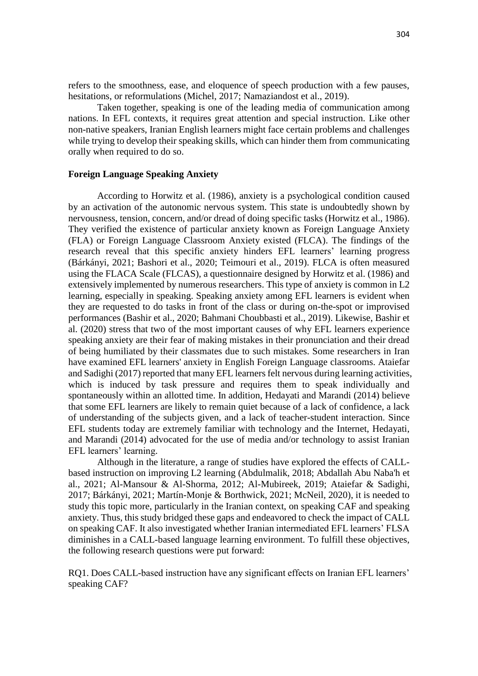refers to the smoothness, ease, and eloquence of speech production with a few pauses, hesitations, or reformulations (Michel, 2017; Namaziandost et al., 2019).

Taken together, speaking is one of the leading media of communication among nations. In EFL contexts, it requires great attention and special instruction. Like other non-native speakers, Iranian English learners might face certain problems and challenges while trying to develop their speaking skills, which can hinder them from communicating orally when required to do so.

#### **Foreign Language Speaking Anxiety**

According to Horwitz et al. (1986), anxiety is a psychological condition caused by an activation of the autonomic nervous system. This state is undoubtedly shown by nervousness, tension, concern, and/or dread of doing specific tasks (Horwitz et al., 1986). They verified the existence of particular anxiety known as Foreign Language Anxiety (FLA) or Foreign Language Classroom Anxiety existed (FLCA). The findings of the research reveal that this specific anxiety hinders EFL learners' learning progress (Bárkányi, 2021; Bashori et al., 2020; Teimouri et al., 2019). FLCA is often measured using the FLACA Scale (FLCAS), a questionnaire designed by Horwitz et al. (1986) and extensively implemented by numerous researchers. This type of anxiety is common in L2 learning, especially in speaking. Speaking anxiety among EFL learners is evident when they are requested to do tasks in front of the class or during on-the-spot or improvised performances (Bashir et al., 2020; Bahmani Choubbasti et al., 2019). Likewise, Bashir et al. (2020) stress that two of the most important causes of why EFL learners experience speaking anxiety are their fear of making mistakes in their pronunciation and their dread of being humiliated by their classmates due to such mistakes. Some researchers in Iran have examined EFL learners' anxiety in English Foreign Language classrooms. Ataiefar and Sadighi (2017) reported that many EFL learners felt nervous during learning activities, which is induced by task pressure and requires them to speak individually and spontaneously within an allotted time. In addition, Hedayati and Marandi (2014) believe that some EFL learners are likely to remain quiet because of a lack of confidence, a lack of understanding of the subjects given, and a lack of teacher-student interaction. Since EFL students today are extremely familiar with technology and the Internet, Hedayati, and Marandi (2014) advocated for the use of media and/or technology to assist Iranian EFL learners' learning.

Although in the literature, a range of studies have explored the effects of CALLbased instruction on improving L2 learning (Abdulmalik, 2018; Abdallah Abu Naba'h et al., 2021; Al-Mansour & Al-Shorma, 2012; Al-Mubireek, 2019; Ataiefar & Sadighi, 2017; Bárkányi, 2021; Martín-Monje & Borthwick, 2021; McNeil, 2020), it is needed to study this topic more, particularly in the Iranian context, on speaking CAF and speaking anxiety. Thus, this study bridged these gaps and endeavored to check the impact of CALL on speaking CAF. It also investigated whether Iranian intermediated EFL learners' FLSA diminishes in a CALL-based language learning environment. To fulfill these objectives, the following research questions were put forward:

RQ1. Does CALL-based instruction have any significant effects on Iranian EFL learners' speaking CAF?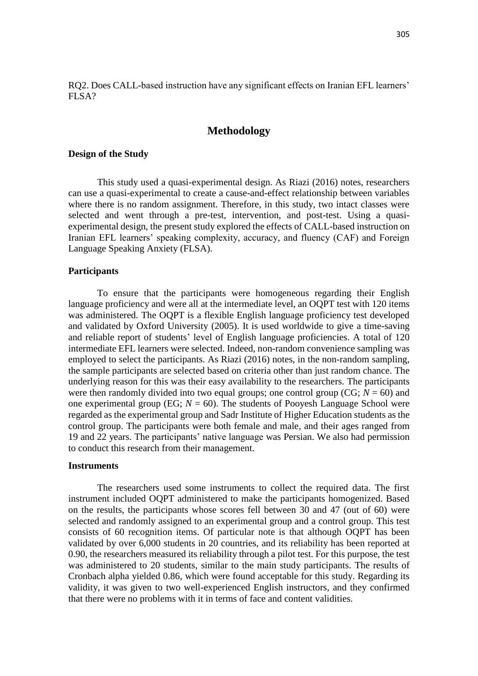RQ2. Does CALL-based instruction have any significant effects on Iranian EFL learners' FLSA?

## **Methodology**

#### **Design of the Study**

This study used a quasi-experimental design. As Riazi (2016) notes, researchers can use a quasi-experimental to create a cause-and-effect relationship between variables where there is no random assignment. Therefore, in this study, two intact classes were selected and went through a pre-test, intervention, and post-test. Using a quasiexperimental design, the present study explored the effects of CALL-based instruction on Iranian EFL learners' speaking complexity, accuracy, and fluency (CAF) and Foreign Language Speaking Anxiety (FLSA).

#### **Participants**

To ensure that the participants were homogeneous regarding their English language proficiency and were all at the intermediate level, an OQPT test with 120 items was administered. The OQPT is a flexible English language proficiency test developed and validated by Oxford University (2005). It is used worldwide to give a time-saving and reliable report of students' level of English language proficiencies. A total of 120 intermediate EFL learners were selected. Indeed, non-random convenience sampling was employed to select the participants. As Riazi (2016) notes, in the non-random sampling, the sample participants are selected based on criteria other than just random chance. The underlying reason for this was their easy availability to the researchers. The participants were then randomly divided into two equal groups; one control group ( $CG; N = 60$ ) and one experimental group (EG;  $N = 60$ ). The students of Pooyesh Language School were regarded as the experimental group and Sadr Institute of Higher Education students as the control group. The participants were both female and male, and their ages ranged from 19 and 22 years. The participants' native language was Persian. We also had permission to conduct this research from their management.

#### **Instruments**

The researchers used some instruments to collect the required data. The first instrument included OQPT administered to make the participants homogenized. Based on the results, the participants whose scores fell between 30 and 47 (out of 60) were selected and randomly assigned to an experimental group and a control group. This test consists of 60 recognition items. Of particular note is that although OQPT has been validated by over 6,000 students in 20 countries, and its reliability has been reported at 0.90, the researchers measured its reliability through a pilot test. For this purpose, the test was administered to 20 students, similar to the main study participants. The results of Cronbach alpha yielded 0.86, which were found acceptable for this study. Regarding its validity, it was given to two well-experienced English instructors, and they confirmed that there were no problems with it in terms of face and content validities.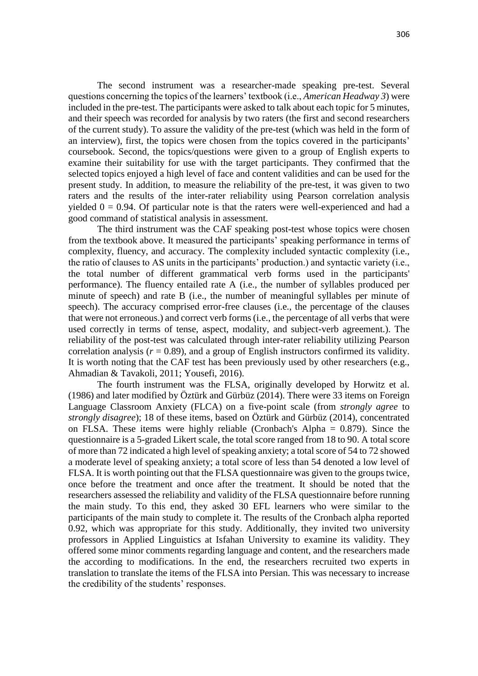The second instrument was a researcher-made speaking pre-test. Several questions concerning the topics of the learners' textbook (i.e., *American Headway 3*) were included in the pre-test. The participants were asked to talk about each topic for 5 minutes, and their speech was recorded for analysis by two raters (the first and second researchers of the current study). To assure the validity of the pre-test (which was held in the form of an interview), first, the topics were chosen from the topics covered in the participants' coursebook. Second, the topics/questions were given to a group of English experts to examine their suitability for use with the target participants. They confirmed that the selected topics enjoyed a high level of face and content validities and can be used for the present study. In addition, to measure the reliability of the pre-test, it was given to two raters and the results of the inter-rater reliability using Pearson correlation analysis yielded  $0 = 0.94$ . Of particular note is that the raters were well-experienced and had a good command of statistical analysis in assessment.

The third instrument was the CAF speaking post-test whose topics were chosen from the textbook above. It measured the participants' speaking performance in terms of complexity, fluency, and accuracy. The complexity included syntactic complexity (i.e., the ratio of clauses to AS units in the participants' production.) and syntactic variety (i.e., the total number of different grammatical verb forms used in the participants' performance). The fluency entailed rate A (i.e., the number of syllables produced per minute of speech) and rate B (i.e., the number of meaningful syllables per minute of speech). The accuracy comprised error-free clauses (i.e., the percentage of the clauses that were not erroneous.) and correct verb forms (i.e., the percentage of all verbs that were used correctly in terms of tense, aspect, modality, and subject-verb agreement.). The reliability of the post-test was calculated through inter-rater reliability utilizing Pearson correlation analysis  $(r = 0.89)$ , and a group of English instructors confirmed its validity. It is worth noting that the CAF test has been previously used by other researchers (e.g., Ahmadian & Tavakoli, 2011; Yousefi, 2016).

The fourth instrument was the FLSA, originally developed by Horwitz et al. (1986) and later modified by Öztürk and Gürbüz (2014). There were 33 items on Foreign Language Classroom Anxiety (FLCA) on a five-point scale (from *strongly agree* to *strongly disagree*); 18 of these items, based on Öztürk and Gürbüz (2014), concentrated on FLSA. These items were highly reliable (Cronbach's Alpha = 0.879). Since the questionnaire is a 5-graded Likert scale, the total score ranged from 18 to 90. A total score of more than 72 indicated a high level of speaking anxiety; a total score of 54 to 72 showed a moderate level of speaking anxiety; a total score of less than 54 denoted a low level of FLSA. It is worth pointing out that the FLSA questionnaire was given to the groups twice, once before the treatment and once after the treatment. It should be noted that the researchers assessed the reliability and validity of the FLSA questionnaire before running the main study. To this end, they asked 30 EFL learners who were similar to the participants of the main study to complete it. The results of the Cronbach alpha reported 0.92, which was appropriate for this study. Additionally, they invited two university professors in Applied Linguistics at Isfahan University to examine its validity. They offered some minor comments regarding language and content, and the researchers made the according to modifications. In the end, the researchers recruited two experts in translation to translate the items of the FLSA into Persian. This was necessary to increase the credibility of the students' responses.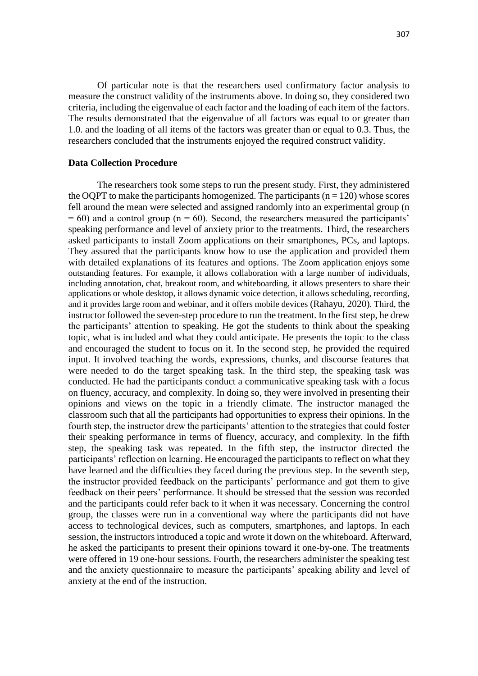Of particular note is that the researchers used confirmatory factor analysis to measure the construct validity of the instruments above. In doing so, they considered two criteria, including the eigenvalue of each factor and the loading of each item of the factors. The results demonstrated that the eigenvalue of all factors was equal to or greater than 1.0. and the loading of all items of the factors was greater than or equal to 0.3. Thus, the researchers concluded that the instruments enjoyed the required construct validity.

### **Data Collection Procedure**

The researchers took some steps to run the present study. First, they administered the OOPT to make the participants homogenized. The participants  $(n = 120)$  whose scores fell around the mean were selected and assigned randomly into an experimental group (n  $= 60$ ) and a control group (n = 60). Second, the researchers measured the participants' speaking performance and level of anxiety prior to the treatments. Third, the researchers asked participants to install Zoom applications on their smartphones, PCs, and laptops. They assured that the participants know how to use the application and provided them with detailed explanations of its features and options. The Zoom application enjoys some outstanding features. For example, it allows collaboration with a large number of individuals, including annotation, chat, breakout room, and whiteboarding, it allows presenters to share their applications or whole desktop, it allows dynamic voice detection, it allows scheduling, recording, and it provides large room and webinar, and it offers mobile devices (Rahayu, 2020). Third, the instructor followed the seven-step procedure to run the treatment. In the first step, he drew the participants' attention to speaking. He got the students to think about the speaking topic, what is included and what they could anticipate. He presents the topic to the class and encouraged the student to focus on it. In the second step, he provided the required input. It involved teaching the words, expressions, chunks, and discourse features that were needed to do the target speaking task. In the third step, the speaking task was conducted. He had the participants conduct a communicative speaking task with a focus on fluency, accuracy, and complexity. In doing so, they were involved in presenting their opinions and views on the topic in a friendly climate. The instructor managed the classroom such that all the participants had opportunities to express their opinions. In the fourth step, the instructor drew the participants' attention to the strategies that could foster their speaking performance in terms of fluency, accuracy, and complexity. In the fifth step, the speaking task was repeated. In the fifth step, the instructor directed the participants' reflection on learning. He encouraged the participants to reflect on what they have learned and the difficulties they faced during the previous step. In the seventh step, the instructor provided feedback on the participants' performance and got them to give feedback on their peers' performance. It should be stressed that the session was recorded and the participants could refer back to it when it was necessary. Concerning the control group, the classes were run in a conventional way where the participants did not have access to technological devices, such as computers, smartphones, and laptops. In each session, the instructors introduced a topic and wrote it down on the whiteboard. Afterward, he asked the participants to present their opinions toward it one-by-one. The treatments were offered in 19 one-hour sessions. Fourth, the researchers administer the speaking test and the anxiety questionnaire to measure the participants' speaking ability and level of anxiety at the end of the instruction.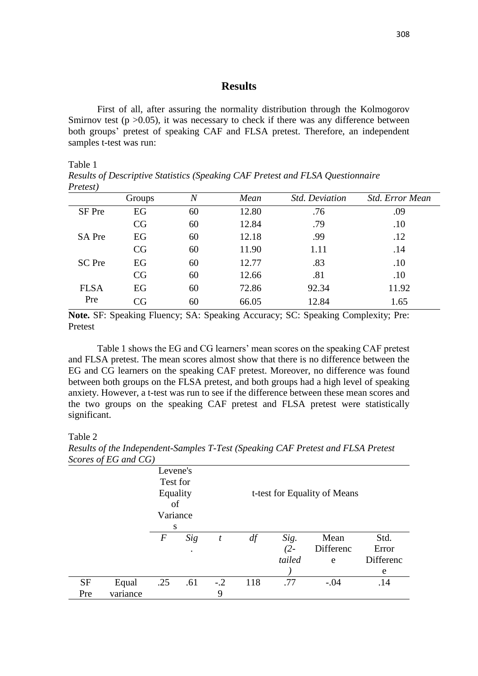## **Results**

First of all, after assuring the normality distribution through the Kolmogorov Smirnov test ( $p > 0.05$ ), it was necessary to check if there was any difference between both groups' pretest of speaking CAF and FLSA pretest. Therefore, an independent samples t-test was run:

#### Table 1

*Results of Descriptive Statistics (Speaking CAF Pretest and FLSA Questionnaire Pretest)*

| 1.000007      |        |                |       |                       |                        |
|---------------|--------|----------------|-------|-----------------------|------------------------|
|               | Groups | $\overline{N}$ | Mean  | <b>Std. Deviation</b> | <b>Std. Error Mean</b> |
| SF Pre        | EG     | 60             | 12.80 | .76                   | .09                    |
|               | CG     | 60             | 12.84 | .79                   | .10                    |
| <b>SA Pre</b> | EG     | 60             | 12.18 | .99                   | .12                    |
|               | CG     | 60             | 11.90 | 1.11                  | .14                    |
| SC Pre        | EG     | 60             | 12.77 | .83                   | .10                    |
|               | CG     | 60             | 12.66 | .81                   | .10                    |
| <b>FLSA</b>   | EG     | 60             | 72.86 | 92.34                 | 11.92                  |
| Pre           | CG     | 60             | 66.05 | 12.84                 | 1.65                   |
|               |        |                |       |                       |                        |

**Note.** SF: Speaking Fluency; SA: Speaking Accuracy; SC: Speaking Complexity; Pre: Pretest

Table 1 shows the EG and CG learners' mean scores on the speaking CAF pretest and FLSA pretest. The mean scores almost show that there is no difference between the EG and CG learners on the speaking CAF pretest. Moreover, no difference was found between both groups on the FLSA pretest, and both groups had a high level of speaking anxiety. However, a t-test was run to see if the difference between these mean scores and the two groups on the speaking CAF pretest and FLSA pretest were statistically significant.

#### Table 2

*Results of the Independent-Samples T-Test (Speaking CAF Pretest and FLSA Pretest Scores of EG and CG)*

| $500.000$ $-0.000$ |          |                  |     |       |     |        |                              |           |
|--------------------|----------|------------------|-----|-------|-----|--------|------------------------------|-----------|
|                    |          | Levene's         |     |       |     |        |                              |           |
|                    |          | Test for         |     |       |     |        |                              |           |
|                    |          | Equality         |     |       |     |        | t-test for Equality of Means |           |
|                    |          | of               |     |       |     |        |                              |           |
|                    |          | Variance         |     |       |     |        |                              |           |
|                    |          | S                |     |       |     |        |                              |           |
|                    |          | $\boldsymbol{F}$ | Sig | t     | df  | Sig.   | Mean                         | Std.      |
|                    |          |                  |     |       |     | $(2 -$ | Differenc                    | Error     |
|                    |          |                  |     |       |     | tailed | e                            | Differenc |
|                    |          |                  |     |       |     |        |                              | e         |
| <b>SF</b>          | Equal    | .25              | .61 | $-.2$ | 118 | .77    | $-.04$                       | .14       |
| Pre                | variance |                  |     | 9     |     |        |                              |           |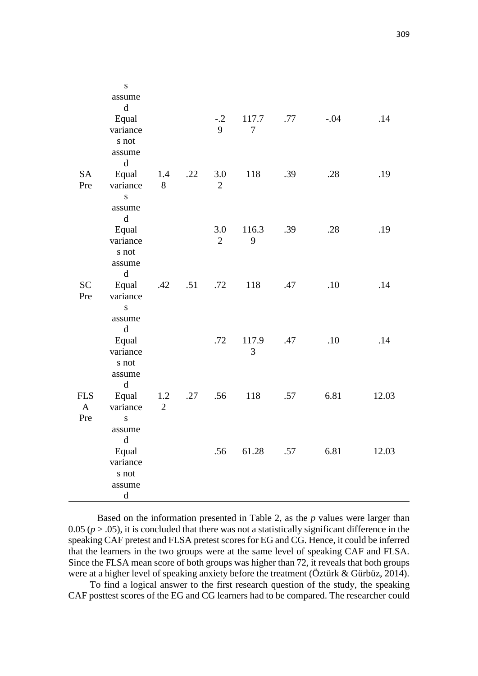|              | ${\bf S}$             |                |     |                |                         |     |        |       |
|--------------|-----------------------|----------------|-----|----------------|-------------------------|-----|--------|-------|
|              | assume                |                |     |                |                         |     |        |       |
|              | $\mathbf d$           |                |     |                |                         |     |        |       |
|              | Equal<br>variance     |                |     | $-.2$<br>9     | 117.7<br>$\overline{7}$ | .77 | $-.04$ | .14   |
|              | s not                 |                |     |                |                         |     |        |       |
|              | assume                |                |     |                |                         |     |        |       |
|              | $\mathbf d$           |                |     |                |                         |     |        |       |
| SA           | Equal                 | 1.4            | .22 | 3.0            | 118                     | .39 | .28    | .19   |
| Pre          | variance              | 8              |     | $\overline{2}$ |                         |     |        |       |
|              | ${\bf S}$             |                |     |                |                         |     |        |       |
|              | assume                |                |     |                |                         |     |        |       |
|              | $\mathbf d$           |                |     |                |                         |     |        |       |
|              | Equal                 |                |     | 3.0            | 116.3                   | .39 | .28    | .19   |
|              | variance              |                |     | $\overline{2}$ | 9                       |     |        |       |
|              | s not<br>assume       |                |     |                |                         |     |        |       |
|              | $\mathbf d$           |                |     |                |                         |     |        |       |
| <b>SC</b>    | Equal                 | .42            | .51 | .72            | 118                     | .47 | .10    | .14   |
| Pre          | variance              |                |     |                |                         |     |        |       |
|              | ${\bf S}$             |                |     |                |                         |     |        |       |
|              | assume                |                |     |                |                         |     |        |       |
|              | $\mathbf d$           |                |     |                |                         |     |        |       |
|              | Equal                 |                |     | .72            | 117.9                   | .47 | .10    | .14   |
|              | variance              |                |     |                | 3                       |     |        |       |
|              | s not                 |                |     |                |                         |     |        |       |
|              | assume<br>$\rm d$     |                |     |                |                         |     |        |       |
| <b>FLS</b>   | Equal                 | 1.2            | .27 | .56            | 118                     | .57 | 6.81   | 12.03 |
| $\mathbf{A}$ | variance              | $\overline{2}$ |     |                |                         |     |        |       |
| Pre          | S                     |                |     |                |                         |     |        |       |
|              | assume                |                |     |                |                         |     |        |       |
|              | $\mathbf d$           |                |     |                |                         |     |        |       |
|              | Equal                 |                |     | .56            | 61.28                   | .57 | 6.81   | 12.03 |
|              | variance              |                |     |                |                         |     |        |       |
|              | s not                 |                |     |                |                         |     |        |       |
|              | assume<br>$\mathbf d$ |                |     |                |                         |     |        |       |
|              |                       |                |     |                |                         |     |        |       |

Based on the information presented in Table 2, as the *p* values were larger than  $0.05$  ( $p > .05$ ), it is concluded that there was not a statistically significant difference in the speaking CAF pretest and FLSA pretest scores for EG and CG. Hence, it could be inferred that the learners in the two groups were at the same level of speaking CAF and FLSA. Since the FLSA mean score of both groups was higher than 72, it reveals that both groups were at a higher level of speaking anxiety before the treatment (Öztürk & Gürbüz, 2014).

 To find a logical answer to the first research question of the study, the speaking CAF posttest scores of the EG and CG learners had to be compared. The researcher could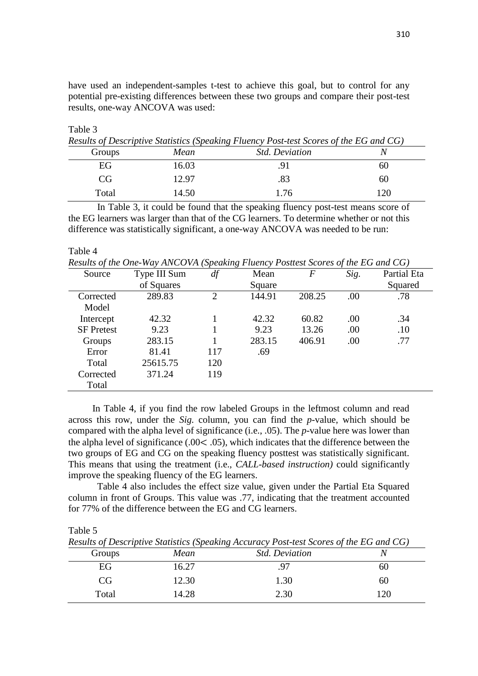have used an independent-samples t-test to achieve this goal, but to control for any potential pre-existing differences between these two groups and compare their post-test results, one-way ANCOVA was used:

Table 3

| Results of Descriptive Statistics (Speaking Fluency Post-test Scores of the EG and CG) |       |                       |    |  |  |  |  |  |
|----------------------------------------------------------------------------------------|-------|-----------------------|----|--|--|--|--|--|
| Groups                                                                                 | Mean  | <i>Std. Deviation</i> |    |  |  |  |  |  |
| EG                                                                                     | 6.03  |                       | 60 |  |  |  |  |  |
| CG                                                                                     | 12.97 |                       | 60 |  |  |  |  |  |
| Total                                                                                  | 14.50 | 1.76                  |    |  |  |  |  |  |

In Table 3, it could be found that the speaking fluency post-test means score of the EG learners was larger than that of the CG learners. To determine whether or not this difference was statistically significant, a one-way ANCOVA was needed to be run:

#### Table 4

*Results of the One-Way ANCOVA (Speaking Fluency Posttest Scores of the EG and CG)*

| Source            | Type III Sum | df  | Mean   | $\boldsymbol{F}$ | Sig. | Partial Eta |
|-------------------|--------------|-----|--------|------------------|------|-------------|
|                   | of Squares   |     | Square |                  |      | Squared     |
| Corrected         | 289.83       | 2   | 144.91 | 208.25           | .00  | .78         |
| Model             |              |     |        |                  |      |             |
| Intercept         | 42.32        |     | 42.32  | 60.82            | .00  | .34         |
| <b>SF</b> Pretest | 9.23         |     | 9.23   | 13.26            | .00  | .10         |
| Groups            | 283.15       |     | 283.15 | 406.91           | .00  | .77         |
| Error             | 81.41        | 117 | .69    |                  |      |             |
| Total             | 25615.75     | 120 |        |                  |      |             |
| Corrected         | 371.24       | 119 |        |                  |      |             |
| Total             |              |     |        |                  |      |             |

In Table 4, if you find the row labeled Groups in the leftmost column and read across this row, under the *Sig.* column, you can find the *p-*value, which should be compared with the alpha level of significance (i.e., .05). The *p-*value here was lower than the alpha level of significance (.00< .05), which indicates that the difference between the two groups of EG and CG on the speaking fluency posttest was statistically significant. This means that using the treatment (i.e., *CALL-based instruction)* could significantly improve the speaking fluency of the EG learners.

Table 4 also includes the effect size value, given under the Partial Eta Squared column in front of Groups. This value was .77, indicating that the treatment accounted for 77% of the difference between the EG and CG learners.

Table 5

*Results of Descriptive Statistics (Speaking Accuracy Post-test Scores of the EG and CG)*

| Results of Beschiptine Bullistics (Speaking Heelinger) I ost test been as of the BS and CS |       |                       |    |  |  |  |  |  |
|--------------------------------------------------------------------------------------------|-------|-----------------------|----|--|--|--|--|--|
| Groups                                                                                     | Mean  | <b>Std. Deviation</b> |    |  |  |  |  |  |
| EG                                                                                         | 16.27 |                       | 60 |  |  |  |  |  |
| 'CG                                                                                        | 2.30  | 1.30                  | 60 |  |  |  |  |  |
| Total                                                                                      | 14.28 | 2.30                  | 20 |  |  |  |  |  |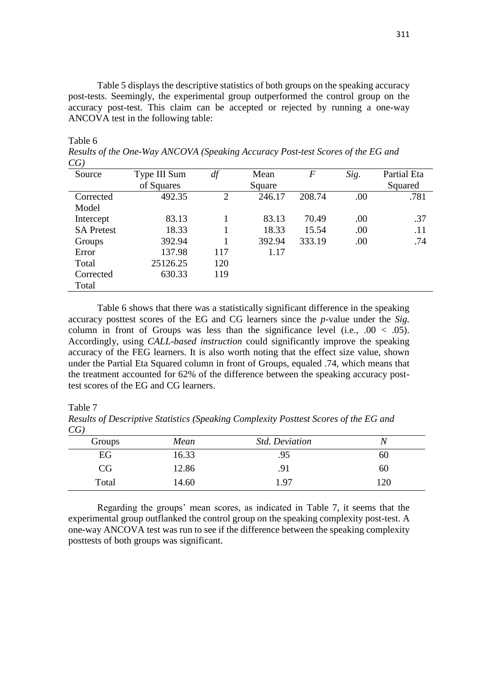Table 5 displays the descriptive statistics of both groups on the speaking accuracy post-tests. Seemingly, the experimental group outperformed the control group on the accuracy post-test. This claim can be accepted or rejected by running a one-way ANCOVA test in the following table:

#### Table 6

*Results of the One-Way ANCOVA (Speaking Accuracy Post-test Scores of the EG and CG)*

| Source            | Type III Sum | df             | Mean   | $\boldsymbol{F}$ | Sig. | Partial Eta |
|-------------------|--------------|----------------|--------|------------------|------|-------------|
|                   | of Squares   |                | Square |                  |      | Squared     |
| Corrected         | 492.35       | $\overline{2}$ | 246.17 | 208.74           | .00  | .781        |
| Model             |              |                |        |                  |      |             |
| Intercept         | 83.13        |                | 83.13  | 70.49            | .00  | .37         |
| <b>SA Pretest</b> | 18.33        |                | 18.33  | 15.54            | .00  | .11         |
| Groups            | 392.94       |                | 392.94 | 333.19           | .00  | .74         |
| Error             | 137.98       | 117            | 1.17   |                  |      |             |
| Total             | 25126.25     | 120            |        |                  |      |             |
| Corrected         | 630.33       | 119            |        |                  |      |             |
| Total             |              |                |        |                  |      |             |
|                   |              |                |        |                  |      |             |

Table 6 shows that there was a statistically significant difference in the speaking accuracy posttest scores of the EG and CG learners since the *p*-value under the *Sig.* column in front of Groups was less than the significance level (i.e.,  $.00 < .05$ ). Accordingly, using *CALL-based instruction* could significantly improve the speaking accuracy of the FEG learners. It is also worth noting that the effect size value, shown under the Partial Eta Squared column in front of Groups, equaled .74, which means that the treatment accounted for 62% of the difference between the speaking accuracy posttest scores of the EG and CG learners.

#### Table 7

| CG     |       |                       |     |
|--------|-------|-----------------------|-----|
| Groups | Mean  | <b>Std. Deviation</b> | V   |
| EG     | 16.33 | .95                   | OU  |
| CG     | 12.86 | .91                   | 60  |
| Total  | 14.60 | 197                   | 120 |

*Results of Descriptive Statistics (Speaking Complexity Posttest Scores of the EG and CG)*

Regarding the groups' mean scores, as indicated in Table 7, it seems that the experimental group outflanked the control group on the speaking complexity post-test. A one-way ANCOVA test was run to see if the difference between the speaking complexity posttests of both groups was significant.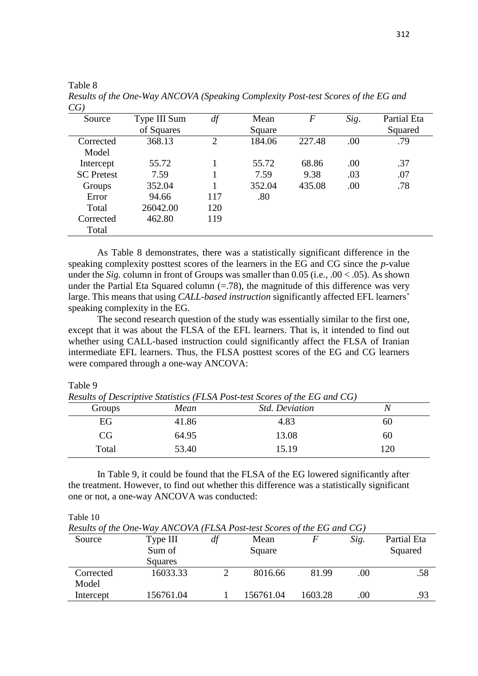| ◡◡ ៸              |              |     |        |        |      |             |
|-------------------|--------------|-----|--------|--------|------|-------------|
| Source            | Type III Sum | df  | Mean   | F      | Sig. | Partial Eta |
|                   | of Squares   |     | Square |        |      | Squared     |
| Corrected         | 368.13       | 2   | 184.06 | 227.48 | .00  | .79         |
| Model             |              |     |        |        |      |             |
| Intercept         | 55.72        |     | 55.72  | 68.86  | .00  | .37         |
| <b>SC</b> Pretest | 7.59         |     | 7.59   | 9.38   | .03  | .07         |
| Groups            | 352.04       |     | 352.04 | 435.08 | .00  | .78         |
| Error             | 94.66        | 117 | .80    |        |      |             |
| Total             | 26042.00     | 120 |        |        |      |             |
| Corrected         | 462.80       | 119 |        |        |      |             |
| Total             |              |     |        |        |      |             |

*Results of the One-Way ANCOVA (Speaking Complexity Post-test Scores of the EG and CG)*

As Table 8 demonstrates, there was a statistically significant difference in the speaking complexity posttest scores of the learners in the EG and CG since the *p*-value under the *Sig.* column in front of Groups was smaller than 0.05 (i.e., .00 < .05). As shown under the Partial Eta Squared column  $(= .78)$ , the magnitude of this difference was very large. This means that using *CALL-based instruction* significantly affected EFL learners' speaking complexity in the EG.

The second research question of the study was essentially similar to the first one, except that it was about the FLSA of the EFL learners. That is, it intended to find out whether using CALL-based instruction could significantly affect the FLSA of Iranian intermediate EFL learners. Thus, the FLSA posttest scores of the EG and CG learners were compared through a one-way ANCOVA:

#### Table 9

Table 8

*Results of Descriptive Statistics (FLSA Post-test Scores of the EG and CG)*

| Groups | Mean  | <b>Std. Deviation</b> | N   |
|--------|-------|-----------------------|-----|
| EG     | 41.86 | 4.83                  | 60  |
| CG     | 64.95 | 13.08                 | 60  |
| Total  | 53.40 | 15.19                 | 120 |

In Table 9, it could be found that the FLSA of the EG lowered significantly after the treatment. However, to find out whether this difference was a statistically significant one or not, a one-way ANCOVA was conducted:

Table 10

*Results of the One-Way ANCOVA (FLSA Post-test Scores of the EG and CG)*

| Source             | Type III<br>Sum of<br>Squares | df | Mean<br>Square |         | Sig.    | Partial Eta<br>Squared |
|--------------------|-------------------------------|----|----------------|---------|---------|------------------------|
| Corrected          | 16033.33                      |    | 8016.66        | 81.99   | .00     | .58                    |
| Model<br>Intercept | 156761.04                     |    | 156761.04      | 1603.28 | $.00\,$ | .93                    |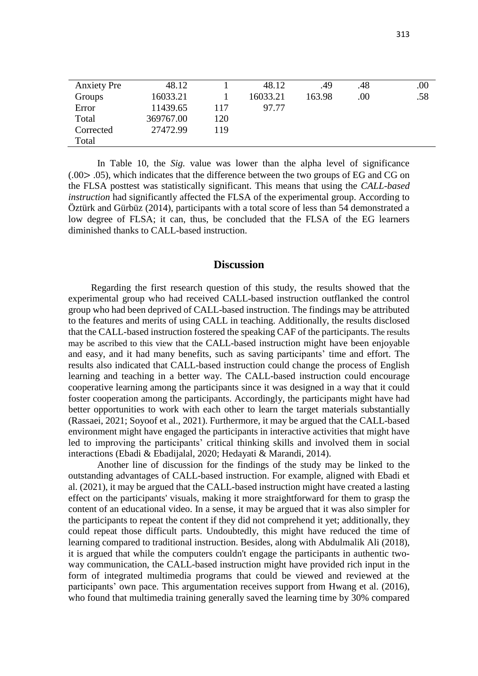| <b>Anxiety</b> Pre | 48.12     |     | 48.12    | .49    | .48  | .00. |
|--------------------|-----------|-----|----------|--------|------|------|
| Groups             | 16033.21  |     | 16033.21 | 163.98 | .00. | .58  |
| Error              | 11439.65  | 117 | 97.77    |        |      |      |
| Total              | 369767.00 | 120 |          |        |      |      |
| Corrected          | 27472.99  | 119 |          |        |      |      |
| Total              |           |     |          |        |      |      |

In Table 10, the *Sig.* value was lower than the alpha level of significance  $(0.00)$   $(0.00)$ , which indicates that the difference between the two groups of EG and CG on the FLSA posttest was statistically significant. This means that using the *CALL-based instruction* had significantly affected the FLSA of the experimental group. According to Öztürk and Gürbüz (2014), participants with a total score of less than 54 demonstrated a low degree of FLSA; it can, thus, be concluded that the FLSA of the EG learners diminished thanks to CALL-based instruction.

### **Discussion**

Regarding the first research question of this study, the results showed that the experimental group who had received CALL-based instruction outflanked the control group who had been deprived of CALL-based instruction. The findings may be attributed to the features and merits of using CALL in teaching. Additionally, the results disclosed that the CALL-based instruction fostered the speaking CAF of the participants. The results may be ascribed to this view that the CALL-based instruction might have been enjoyable and easy, and it had many benefits, such as saving participants' time and effort. The results also indicated that CALL-based instruction could change the process of English learning and teaching in a better way. The CALL-based instruction could encourage cooperative learning among the participants since it was designed in a way that it could foster cooperation among the participants. Accordingly, the participants might have had better opportunities to work with each other to learn the target materials substantially (Rassaei, 2021; Soyoof et al., 2021). Furthermore, it may be argued that the CALL-based environment might have engaged the participants in interactive activities that might have led to improving the participants' critical thinking skills and involved them in social interactions (Ebadi & Ebadijalal, 2020; Hedayati & Marandi, 2014).

Another line of discussion for the findings of the study may be linked to the outstanding advantages of CALL-based instruction. For example, aligned with Ebadi et al. (2021), it may be argued that the CALL-based instruction might have created a lasting effect on the participants' visuals, making it more straightforward for them to grasp the content of an educational video. In a sense, it may be argued that it was also simpler for the participants to repeat the content if they did not comprehend it yet; additionally, they could repeat those difficult parts. Undoubtedly, this might have reduced the time of learning compared to traditional instruction. Besides, along with Abdulmalik Ali (2018), it is argued that while the computers couldn't engage the participants in authentic twoway communication, the CALL-based instruction might have provided rich input in the form of integrated multimedia programs that could be viewed and reviewed at the participants' own pace. This argumentation receives support from Hwang et al. (2016), who found that multimedia training generally saved the learning time by 30% compared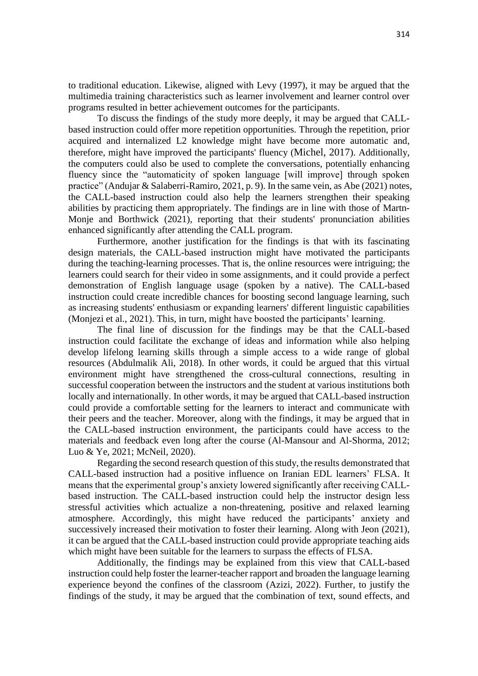to traditional education. Likewise, aligned with Levy (1997), it may be argued that the multimedia training characteristics such as learner involvement and learner control over programs resulted in better achievement outcomes for the participants.

To discuss the findings of the study more deeply, it may be argued that CALLbased instruction could offer more repetition opportunities. Through the repetition, prior acquired and internalized L2 knowledge might have become more automatic and, therefore, might have improved the participants' fluency (Michel, 2017). Additionally, the computers could also be used to complete the conversations, potentially enhancing fluency since the "automaticity of spoken language [will improve] through spoken practice" (Andujar & Salaberri-Ramiro, 2021, p. 9). In the same vein, as Abe (2021) notes, the CALL-based instruction could also help the learners strengthen their speaking abilities by practicing them appropriately. The findings are in line with those of Martn-Monje and Borthwick (2021), reporting that their students' pronunciation abilities enhanced significantly after attending the CALL program.

Furthermore, another justification for the findings is that with its fascinating design materials, the CALL-based instruction might have motivated the participants during the teaching-learning processes. That is, the online resources were intriguing; the learners could search for their video in some assignments, and it could provide a perfect demonstration of English language usage (spoken by a native). The CALL-based instruction could create incredible chances for boosting second language learning, such as increasing students' enthusiasm or expanding learners' different linguistic capabilities (Monjezi et al., 2021). This, in turn, might have boosted the participants' learning.

The final line of discussion for the findings may be that the CALL-based instruction could facilitate the exchange of ideas and information while also helping develop lifelong learning skills through a simple access to a wide range of global resources (Abdulmalik Ali, 2018). In other words, it could be argued that this virtual environment might have strengthened the cross-cultural connections, resulting in successful cooperation between the instructors and the student at various institutions both locally and internationally. In other words, it may be argued that CALL-based instruction could provide a comfortable setting for the learners to interact and communicate with their peers and the teacher. Moreover, along with the findings, it may be argued that in the CALL-based instruction environment, the participants could have access to the materials and feedback even long after the course (Al-Mansour and Al-Shorma, 2012; Luo & Ye, 2021; McNeil, 2020).

Regarding the second research question of this study, the results demonstrated that CALL-based instruction had a positive influence on Iranian EDL learners' FLSA. It means that the experimental group's anxiety lowered significantly after receiving CALLbased instruction. The CALL-based instruction could help the instructor design less stressful activities which actualize a non-threatening, positive and relaxed learning atmosphere. Accordingly, this might have reduced the participants' anxiety and successively increased their motivation to foster their learning. Along with Jeon (2021), it can be argued that the CALL-based instruction could provide appropriate teaching aids which might have been suitable for the learners to surpass the effects of FLSA.

Additionally, the findings may be explained from this view that CALL-based instruction could help foster the learner-teacher rapport and broaden the language learning experience beyond the confines of the classroom (Azizi, 2022). Further, to justify the findings of the study, it may be argued that the combination of text, sound effects, and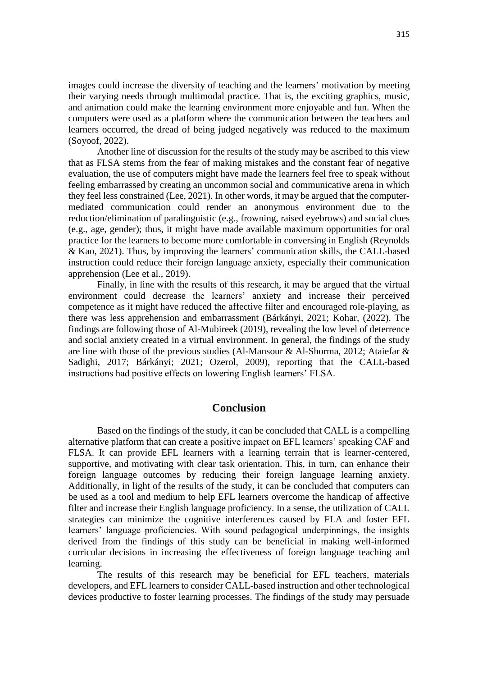images could increase the diversity of teaching and the learners' motivation by meeting their varying needs through multimodal practice. That is, the exciting graphics, music, and animation could make the learning environment more enjoyable and fun. When the computers were used as a platform where the communication between the teachers and learners occurred, the dread of being judged negatively was reduced to the maximum (Soyoof, 2022).

Another line of discussion for the results of the study may be ascribed to this view that as FLSA stems from the fear of making mistakes and the constant fear of negative evaluation, the use of computers might have made the learners feel free to speak without feeling embarrassed by creating an uncommon social and communicative arena in which they feel less constrained (Lee, 2021). In other words, it may be argued that the computermediated communication could render an anonymous environment due to the reduction/elimination of paralinguistic (e.g., frowning, raised eyebrows) and social clues (e.g., age, gender); thus, it might have made available maximum opportunities for oral practice for the learners to become more comfortable in conversing in English (Reynolds & Kao, 2021). Thus, by improving the learners' communication skills, the CALL-based instruction could reduce their foreign language anxiety, especially their communication apprehension (Lee et al., 2019).

Finally, in line with the results of this research, it may be argued that the virtual environment could decrease the learners' anxiety and increase their perceived competence as it might have reduced the affective filter and encouraged role-playing, as there was less apprehension and embarrassment (Bárkányi, 2021; Kohar, (2022). The findings are following those of Al-Mubireek (2019), revealing the low level of deterrence and social anxiety created in a virtual environment. In general, the findings of the study are line with those of the previous studies (Al-Mansour & Al-Shorma, 2012; Ataiefar & Sadighi, 2017; Bárkányi; 2021; Ozerol, 2009), reporting that the CALL-based instructions had positive effects on lowering English learners' FLSA.

## **Conclusion**

Based on the findings of the study, it can be concluded that CALL is a compelling alternative platform that can create a positive impact on EFL learners' speaking CAF and FLSA. It can provide EFL learners with a learning terrain that is learner-centered, supportive, and motivating with clear task orientation. This, in turn, can enhance their foreign language outcomes by reducing their foreign language learning anxiety. Additionally, in light of the results of the study, it can be concluded that computers can be used as a tool and medium to help EFL learners overcome the handicap of affective filter and increase their English language proficiency. In a sense, the utilization of CALL strategies can minimize the cognitive interferences caused by FLA and foster EFL learners' language proficiencies. With sound pedagogical underpinnings, the insights derived from the findings of this study can be beneficial in making well-informed curricular decisions in increasing the effectiveness of foreign language teaching and learning.

The results of this research may be beneficial for EFL teachers, materials developers, and EFL learners to consider CALL-based instruction and other technological devices productive to foster learning processes. The findings of the study may persuade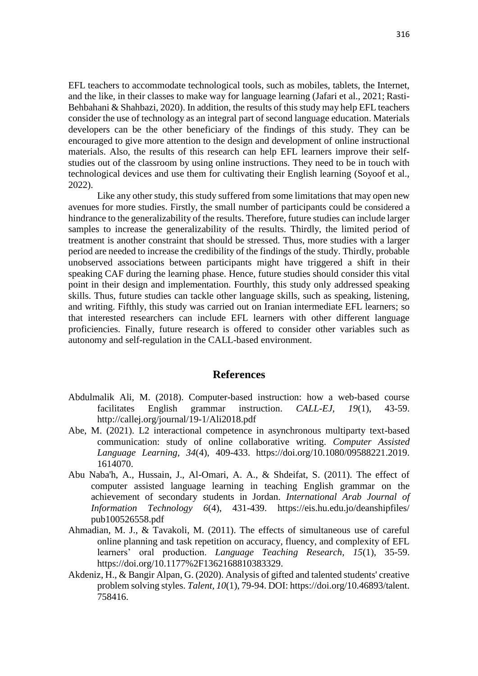EFL teachers to accommodate technological tools, such as mobiles, tablets, the Internet, and the like, in their classes to make way for language learning (Jafari et al., 2021; Rasti-Behbahani & Shahbazi, 2020). In addition, the results of this study may help EFL teachers consider the use of technology as an integral part of second language education. Materials developers can be the other beneficiary of the findings of this study. They can be encouraged to give more attention to the design and development of online instructional materials. Also, the results of this research can help EFL learners improve their selfstudies out of the classroom by using online instructions. They need to be in touch with technological devices and use them for cultivating their English learning (Soyoof et al., 2022).

Like any other study, this study suffered from some limitations that may open new avenues for more studies. Firstly, the small number of participants could be considered a hindrance to the generalizability of the results. Therefore, future studies can include larger samples to increase the generalizability of the results. Thirdly, the limited period of treatment is another constraint that should be stressed. Thus, more studies with a larger period are needed to increase the credibility of the findings of the study. Thirdly, probable unobserved associations between participants might have triggered a shift in their speaking CAF during the learning phase. Hence, future studies should consider this vital point in their design and implementation. Fourthly, this study only addressed speaking skills. Thus, future studies can tackle other language skills, such as speaking, listening, and writing. Fifthly, this study was carried out on Iranian intermediate EFL learners; so that interested researchers can include EFL learners with other different language proficiencies. Finally, future research is offered to consider other variables such as autonomy and self-regulation in the CALL-based environment.

### **References**

- Abdulmalik Ali, M. (2018). Computer-based instruction: how a web-based course facilitates English grammar instruction. *CALL-EJ, 19*(1), 43-59. http://callej.org/journal/19-1/Ali2018.pdf
- Abe, M. (2021). L2 interactional competence in asynchronous multiparty text-based communication: study of online collaborative writing. *Computer Assisted Language Learning, 34*(4), 409-433. [https://doi.org/10.1080/09588221.2019.](https://doi.org/10.1080/09588221.2019.%201614070)  [1614070.](https://doi.org/10.1080/09588221.2019.%201614070)
- Abu Naba'h, A., Hussain, J., Al-Omari, A. A., & Shdeifat, S. (2011). The effect of computer assisted language learning in teaching English grammar on the achievement of secondary students in Jordan. *International Arab Journal of Information Technology 6*(4), 431-439. https://eis.hu.edu.jo/deanshipfiles/ pub100526558.pdf
- Ahmadian, M. J., & Tavakoli, M. (2011). The effects of simultaneous use of careful online planning and task repetition on accuracy, fluency, and complexity of EFL learners' oral production. *Language Teaching Research, 15*(1), 35-59. [https://doi.org/10.1177%2F1362168810383329.](https://doi.org/10.1177%2F1362168810383329)
- Akdeniz, H., & Bangir Alpan, G. (2020). Analysis of gifted and talented students' creative problem solving styles. *Talent, 10*(1), 79-94. DOI: https://doi.org/10.46893/talent. 758416.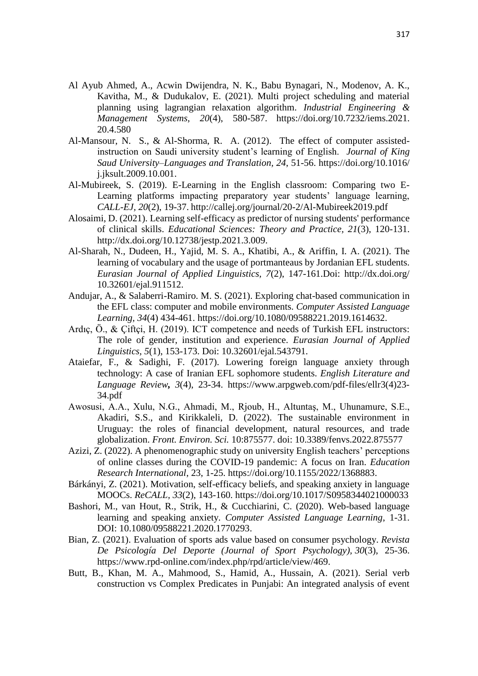- Al Ayub Ahmed, A., Acwin Dwijendra, N. K., Babu Bynagari, N., Modenov, A. K., Kavitha, M., & Dudukalov, E. (2021). Multi project scheduling and material planning using lagrangian relaxation algorithm. *Industrial Engineering & Management Systems, 20*(4), 580-587. https://doi.org/10.7232/iems.2021. 20.4.580
- Al-Mansour, N. S., & Al-Shorma, R. A. (2012). The effect of computer assistedinstruction on Saudi university student's learning of English. *Journal of King Saud University–Languages and Translation, 24*, 51-56. https://doi.org/10.1016/ j.jksult.2009.10.001.
- Al-Mubireek, S. (2019). E-Learning in the English classroom: Comparing two E-Learning platforms impacting preparatory year students' language learning, *CALL-EJ, 20*(2), 19-37. http://callej.org/journal/20-2/Al-Mubireek2019.pdf
- Alosaimi, D. (2021). Learning self-efficacy as predictor of nursing students' performance of clinical skills. *Educational Sciences: Theory and Practice, 21*(3), 120-131. http://dx.doi.org/10.12738/jestp.2021.3.009.
- Al-Sharah, N., Dudeen, H., Yajid, M. S. A., Khatibi, A., & Ariffin, I. A. (2021). The learning of vocabulary and the usage of portmanteaus by Jordanian EFL students. *Eurasian Journal of Applied Linguistics, 7*(2), 147-161.Doi: http://dx.doi.org/ 10.32601/ejal.911512.
- Andujar, A., & Salaberri-Ramiro. M. S. (2021). Exploring chat-based communication in the EFL class: computer and mobile environments. *Computer Assisted Language Learning, 34*(4) 434-461. https://doi.org/10.1080/09588221.2019.1614632.
- Ardıç, Ö., & Çiftçi, H. (2019). ICT competence and needs of Turkish EFL instructors: The role of gender, institution and experience. *Eurasian Journal of Applied Linguistics, 5*(1), 153-173. Doi: 10.32601/ejal.543791.
- Ataiefar, F., & Sadighi, F. (2017). Lowering foreign language anxiety through technology: A case of Iranian EFL sophomore students. *English Literature and Language Review, 3*(4), 23**-**34. https://www.arpgweb.com/pdf-files/ellr3(4)23- 34.pdf
- Awosusi, A.A., Xulu, N.G., Ahmadi, M., Rjoub, H., Altuntaş, M., Uhunamure, S.E., Akadiri, S.S., and Kirikkaleli, D. (2022). The sustainable environment in Uruguay: the roles of financial development, natural resources, and trade globalization. *Front. Environ. Sci.* 10:875577. doi: 10.3389/fenvs.2022.875577
- Azizi, Z. (2022). A phenomenographic study on university English teachers' perceptions of online classes during the COVID-19 pandemic: A focus on Iran. *Education Research International*, 23, 1-25. [https://doi.org/10.1155/2022/1368883.](https://doi.org/10.1155/2022/1368883)
- Bárkányi, Z. (2021). Motivation, self-efficacy beliefs, and speaking anxiety in language MOOCs. *ReCALL, 33*(2), 143-160.<https://doi.org/10.1017/S0958344021000033>
- Bashori, M., van Hout, R., Strik, H., & Cucchiarini, C. (2020). Web-based language learning and speaking anxiety. *Computer Assisted Language Learning*, 1-31. DOI: [10.1080/09588221.2020.1770293.](https://doi.org/10.1080/09588221.2020.1770293)
- Bian, Z. (2021). Evaluation of sports ads value based on consumer psychology. *Revista De Psicología Del Deporte (Journal of Sport Psychology), 30*(3), 25-36. [https://www.rpd-online.com/index.php/rpd/article/view/469.](https://www.rpd-online.com/index.php/rpd/article/view/469)
- Butt, B., Khan, M. A., Mahmood, S., Hamid, A., Hussain, A. (2021). Serial verb construction vs Complex Predicates in Punjabi: An integrated analysis of event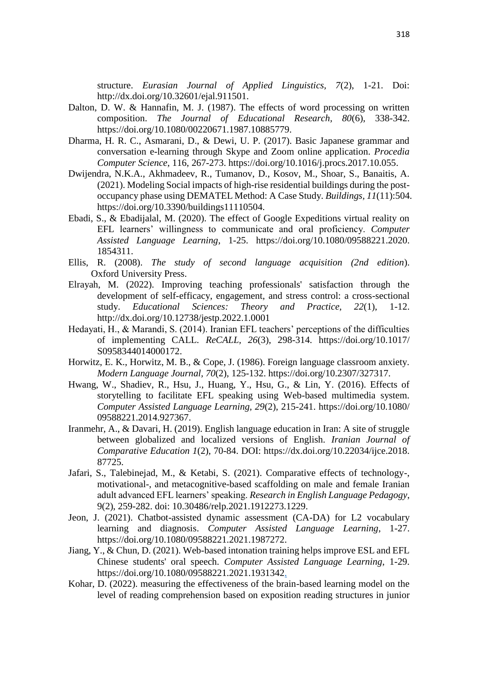structure. *Eurasian Journal of Applied Linguistics, 7*(2), 1-21. Doi: [http://dx.doi.org/10.32601/ejal.911501.](http://dx.doi.org/10.32601/ejal.911501)

- Dalton, D. W. & Hannafin, M. J. (1987). The effects of word processing on written composition. *The Journal of Educational Research, 80*(6), 338-342. [https://doi.org/10.1080/00220671.1987.10885779.](https://doi.org/10.1080/00220671.1987.10885779)
- Dharma, H. R. C., Asmarani, D., & Dewi, U. P. (2017). Basic Japanese grammar and conversation e-learning through Skype and Zoom online application. *Procedia Computer Science*, 116, 267-273. [https://doi.org/10.1016/j.procs.2017.10.055.](https://doi.org/10.1016/j.procs.2017.10.055)
- Dwijendra, N.K.A., Akhmadeev, R., Tumanov, D., Kosov, M., Shoar, S., Banaitis, A. (2021). Modeling Social impacts of high-rise residential buildings during the postoccupancy phase using DEMATEL Method: A Case Study. *Buildings, 11*(11):504. https://doi.org/10.3390/buildings11110504.
- Ebadi, S., & Ebadijalal, M. (2020). The effect of Google Expeditions virtual reality on EFL learners' willingness to communicate and oral proficiency. *Computer Assisted Language Learning*, 1-25. [https://doi.org/10.1080/09588221.2020.](https://doi.org/10.1080/09588221.2020.%201854311)  [1854311.](https://doi.org/10.1080/09588221.2020.%201854311)
- Ellis, R. (2008). *The study of second language acquisition (2nd edition*). Oxford University Press.
- Elrayah, M. (2022). Improving teaching professionals' satisfaction through the development of self-efficacy, engagement, and stress control: a cross-sectional study. *Educational Sciences: Theory and Practice, 22*(1), 1-12. <http://dx.doi.org/10.12738/jestp.2022.1.0001>
- Hedayati, H., & Marandi, S. (2014). Iranian EFL teachers' perceptions of the difficulties of implementing CALL. *ReCALL, 26*(3), 298-314. https://doi.org/10.1017/ S0958344014000172.
- Horwitz, E. K., Horwitz, M. B., & Cope, J. (1986). Foreign language classroom anxiety. *Modern Language Journal, 70*(2), 125-132. [https://doi.org/10.2307/327317.](https://doi.org/10.2307/327317)
- Hwang, W., Shadiev, R., Hsu, J., Huang, Y., Hsu, G., & Lin, Y. (2016). Effects of storytelling to facilitate EFL speaking using Web-based multimedia system. *Computer Assisted Language Learning, 29*(2), 215-241. https://doi.org/10.1080/ 09588221.2014.927367.
- Iranmehr, A., & Davari, H. (2019). English language education in Iran: A site of struggle between globalized and localized versions of English. *Iranian Journal of Comparative Education 1*(2), 70-84. DOI: https://dx.doi.org/10.22034/ijce.2018. 87725.
- Jafari, S., Talebinejad, M., & Ketabi, S. (2021). Comparative effects of technology-, motivational-, and metacognitive-based scaffolding on male and female Iranian adult advanced EFL learners' speaking. *Research in English Language Pedagogy*, 9(2), 259-282. doi: 10.30486/relp.2021.1912273.1229.
- Jeon, J. (2021). Chatbot-assisted dynamic assessment (CA-DA) for L2 vocabulary learning and diagnosis. *Computer Assisted Language Learning*, 1-27. [https://doi.org/10.1080/09588221.2021.1987272.](https://doi.org/10.1080/09588221.2021.1987272)
- Jiang, Y., & Chun, D. (2021). Web-based intonation training helps improve ESL and EFL Chinese students' oral speech. *Computer Assisted Language Learning*, 1-29. [https://doi.org/10.1080/09588221.2021.1931342.](https://doi.org/10.1080/09588221.2021.1931342)
- Kohar, D. (2022). measuring the effectiveness of the brain-based learning model on the level of reading comprehension based on exposition reading structures in junior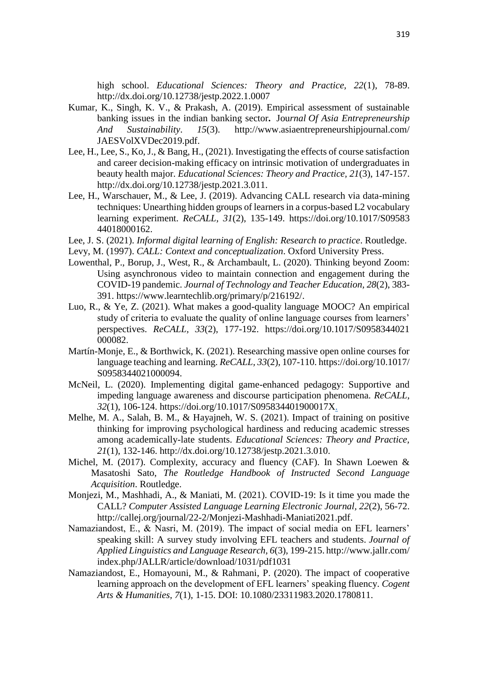high school. *Educational Sciences: Theory and Practice, 22*(1), 78-89. http://dx.doi.org/10.12738/jestp.2022.1.0007

- Kumar, K., Singh, K. V., & Prakash, A. (2019). Empirical assessment of sustainable banking issues in the indian banking sector**.** Jou*rnal [Of Asia Entrepreneurship](https://search.yahoo.com/search;_ylt=Awr9CKuP86ZeHVYAYaRXNyoA;_ylu=X3oDMTBzMmhnYjE4BGNvbG8DZ3ExBHBvcwMxBHZ0aWQDBHNlYwNxcnc-?type=E211US1316G0&fr=mcafee&ei=UTF-8&p=journal+of+asia+entrepreneurship+and+sustainability&fr2=12642)  [And Sustainability](https://search.yahoo.com/search;_ylt=Awr9CKuP86ZeHVYAYaRXNyoA;_ylu=X3oDMTBzMmhnYjE4BGNvbG8DZ3ExBHBvcwMxBHZ0aWQDBHNlYwNxcnc-?type=E211US1316G0&fr=mcafee&ei=UTF-8&p=journal+of+asia+entrepreneurship+and+sustainability&fr2=12642)*. *15*(3). http://www.asiaentrepreneurshipjournal.com/ JAESVolXVDec2019.pdf.
- Lee, H., Lee, S., Ko, J., & Bang, H., (2021). Investigating the effects of course satisfaction and career decision-making efficacy on intrinsic motivation of undergraduates in beauty health major. *Educational Sciences: Theory and Practice, 21*(3), 147-157. http://dx.doi.org/10.12738/jestp.2021.3.011.
- Lee, H., Warschauer, M., & Lee, J. (2019). Advancing CALL research via data-mining techniques: Unearthing hidden groups of learners in a corpus-based L2 vocabulary learning experiment. *ReCALL, 31*(2), 135-149. https://doi.org/10.1017/S09583 44018000162.
- Lee, J. S. (2021). *Informal digital learning of English: Research to practice*. Routledge.
- Levy, M. (1997). *CALL: Context and conceptualization*. Oxford University Press.
- Lowenthal, P., Borup, J., West, R., & Archambault, L. (2020). Thinking beyond Zoom: Using asynchronous video to maintain connection and engagement during the COVID-19 pandemic. *Journal of Technology and Teacher Education, 28*(2), 383- 391. [https://www.learntechlib.org/primary/p/216192/.](https://www.learntechlib.org/primary/p/216192/)
- Luo, R., & Ye, Z. (2021). What makes a good-quality language MOOC? An empirical study of criteria to evaluate the quality of online language courses from learners' perspectives. *ReCALL, 33*(2), 177-192. https://doi.org/10.1017/S0958344021 000082.
- Martín-Monje, E., & Borthwick, K. (2021). Researching massive open online courses for language teaching and learning. *ReCALL, 33*(2), 107-110. [https://doi.org/10.1017/](https://doi.org/10.1017/%20S0958344021000094)  [S0958344021000094.](https://doi.org/10.1017/%20S0958344021000094)
- McNeil, L. (2020). Implementing digital game-enhanced pedagogy: Supportive and impeding language awareness and discourse participation phenomena. *ReCALL, 32*(1), 106-124. [https://doi.org/10.1017/S095834401900017X.](https://doi.org/10.1017/S095834401900017X)
- Melhe, M. A., Salah, B. M., & Hayajneh, W. S. (2021). Impact of training on positive thinking for improving psychological hardiness and reducing academic stresses among academically-late students. *Educational Sciences: Theory and Practice, 21*(1), 132-146. [http://dx.doi.org/10.12738/jestp.2021.3.010.](http://dx.doi.org/10.12738/jestp.2021.3.010)
- Michel, M. (2017). Complexity, accuracy and fluency (CAF). In Shawn Loewen & Masatoshi Sato, *The Routledge Handbook of Instructed Second Language Acquisition*. Routledge.
- Monjezi, M., Mashhadi, A., & Maniati, M. (2021). COVID-19: Is it time you made the CALL? *Computer Assisted Language Learning Electronic Journal, 22*(2), 56-72. http://callej.org/journal/22-2/Monjezi-Mashhadi-Maniati2021.pdf.
- Namaziandost, E., & Nasri, M. (2019). The impact of social media on EFL learners' speaking skill: A survey study involving EFL teachers and students. *Journal of Applied Linguistics and Language Research, 6*(3), 199-215. http://www.jallr.com/ index.php/JALLR/article/download/1031/pdf1031
- Namaziandost, E., Homayouni, M., & Rahmani, P. (2020). The impact of cooperative learning approach on the development of EFL learners' speaking fluency. *Cogent Arts & Humanities, 7*(1), 1-15. DOI: [10.1080/23311983.2020.1780811.](https://doi.org/10.1080/23311983.2020.1780811)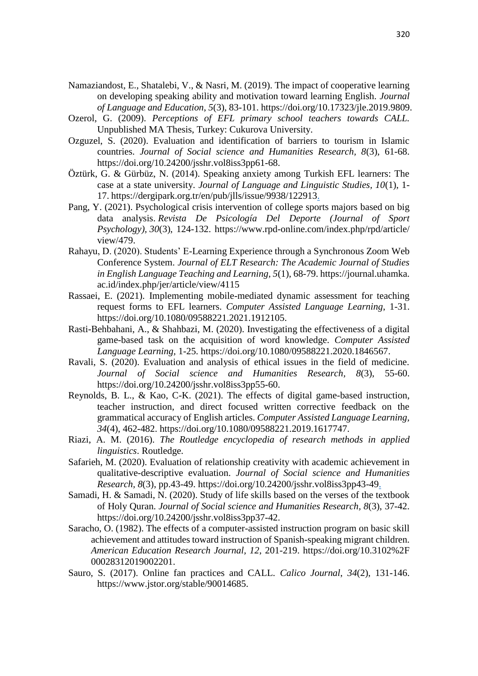- Namaziandost, E., Shatalebi, V., & Nasri, M. (2019). The impact of cooperative learning on developing speaking ability and motivation toward learning English. *Journal of Language and Education*, *5*(3), 83-101. [https://doi.org/10.17323/jle.2019.9809.](https://doi.org/10.17323/jle.2019.9809)
- Ozerol, G. (2009). *Perceptions of EFL primary school teachers towards CALL.*  Unpublished MA Thesis, Turkey: Cukurova University.
- Ozguzel, S. (2020). Evaluation and identification of barriers to tourism in Islamic countries. *Journal of Social science and Humanities Research, 8*(3), 61-68. [https://doi.org/10.24200/jsshr.vol8iss3pp61-68.](https://doi.org/10.24200/jsshr.vol8iss3pp61-68)
- Öztürk, G. & Gürbüz, N. (2014). Speaking anxiety among Turkish EFL learners: The case at a state university. *Journal of Language and Linguistic Studies, 10*(1), 1- 17. [https://dergipark.org.tr/en/pub/jlls/issue/9938/122913.](https://dergipark.org.tr/en/pub/jlls/issue/9938/122913)
- Pang, Y. (2021). Psychological crisis intervention of college sports majors based on big data analysis. *Revista De Psicología Del Deporte (Journal of Sport Psychology), 30*(3), 124-132. https://www.rpd-online.com/index.php/rpd/article/ view/479.
- Rahayu, D. (2020). Students' E-Learning Experience through a Synchronous Zoom Web Conference System. *Journal of ELT Research: The Academic Journal of Studies in English Language Teaching and Learning, 5*(1), 68-79. https://journal.uhamka. ac.id/index.php/jer/article/view/4115
- Rassaei, E. (2021). Implementing mobile-mediated dynamic assessment for teaching request forms to EFL learners. *Computer Assisted Language Learning*, 1-31. https://doi.org/10.1080/09588221.2021.1912105.
- Rasti-Behbahani, A., & Shahbazi, M. (2020). Investigating the effectiveness of a digital game-based task on the acquisition of word knowledge. *Computer Assisted Language Learning,* 1-25. [https://doi.org/10.1080/09588221.2020.1846567.](https://doi.org/10.1080/09588221.2020.1846567)
- Ravali, S. (2020). Evaluation and analysis of ethical issues in the field of medicine. *Journal of Social science and Humanities Research, 8*(3), 55-60. [https://doi.org/10.24200/jsshr.vol8iss3pp55-60.](https://doi.org/10.24200/jsshr.vol8iss3pp55-60)
- Reynolds, B. L., & Kao, C-K. (2021). The effects of digital game-based instruction, teacher instruction, and direct focused written corrective feedback on the grammatical accuracy of English articles. *Computer Assisted Language Learning, 34*(4), 462-482. [https://doi.org/10.1080/09588221.2019.1617747.](https://doi.org/10.1080/09588221.2019.1617747)
- Riazi, A. M. (2016). *The Routledge encyclopedia of research methods in applied linguistics*. Routledge.
- Safarieh, M. (2020). Evaluation of relationship creativity with academic achievement in qualitative-descriptive evaluation. *Journal of Social science and Humanities Research, 8*(3), pp.43-49. [https://doi.org/10.24200/jsshr.vol8iss3pp43-49.](https://doi.org/10.24200/jsshr.vol8iss3pp43-49)
- Samadi, H. & Samadi, N. (2020). Study of life skills based on the verses of the textbook of Holy Quran. *Journal of Social science and Humanities Research, 8*(3), 37-42. [https://doi.org/10.24200/jsshr.vol8iss3pp37-42.](https://doi.org/10.24200/jsshr.vol8iss3pp37-42)
- Saracho, O. (1982). The effects of a computer-assisted instruction program on basic skill achievement and attitudes toward instruction of Spanish-speaking migrant children. *American Education Research Journal, 12*, 201-219. https://doi.org/10.3102%2F 00028312019002201.
- Sauro, S. (2017). Online fan practices and CALL. *Calico Journal*, *34*(2), 131-146. [https://www.jstor.org/stable/90014685.](https://www.jstor.org/stable/90014685)